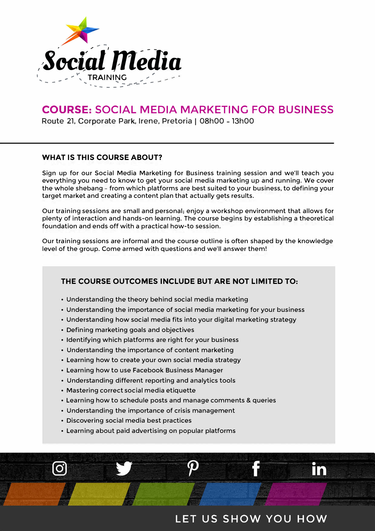

# **COURSE: SOCIAL MEDIA MARKETING FOR BUSINESS**

**Route 21, Corporate Park, Irene, Pretoria | 08h00** – **13h00**

# **WHAT IS THIS COURSE ABOUT?**

Sign up for our Social Media Marketing for Business training session and we'll teach you everything you need to know to get your social media marketing up and running. We cover the whole shebang - from which platforms are best suited to your business, to defining your target market and creating a content plan that actually gets results.

Our training sessions are small and personal; enjoy a workshop environment that allows for plenty of interaction and hands-on learning. The course begins by establishing a theoretical foundation and ends off with a practical how-to session.

Our training sessions are informal and the course outline is often shaped by the knowledge level of the group. Come armed with questions and we'll answer them!

# **THE COURSE OUTCOMES INCLUDE BUT ARE NOT LIMITED TO:**

- Understanding the theory behind social media marketing
- Understanding the importance of social media marketing for your business
- Understanding how social media fits into your digital marketing strategy
- Defining marketing goals and objectives
- Identifying which platforms are right for your business
- Understanding the importance of content marketing
- Learning how to create your own social media strategy
- Learning how to use Facebook Business Manager
- Understanding different reporting and analytics tools
- Mastering correct social media etiquette
- Learning how to schedule posts and manage comments & queries
- Understanding the importance of crisis management
- Discovering social media best practices
- Learning about paid advertising on popular platforms

# LET US SHOW YOU HOW

in